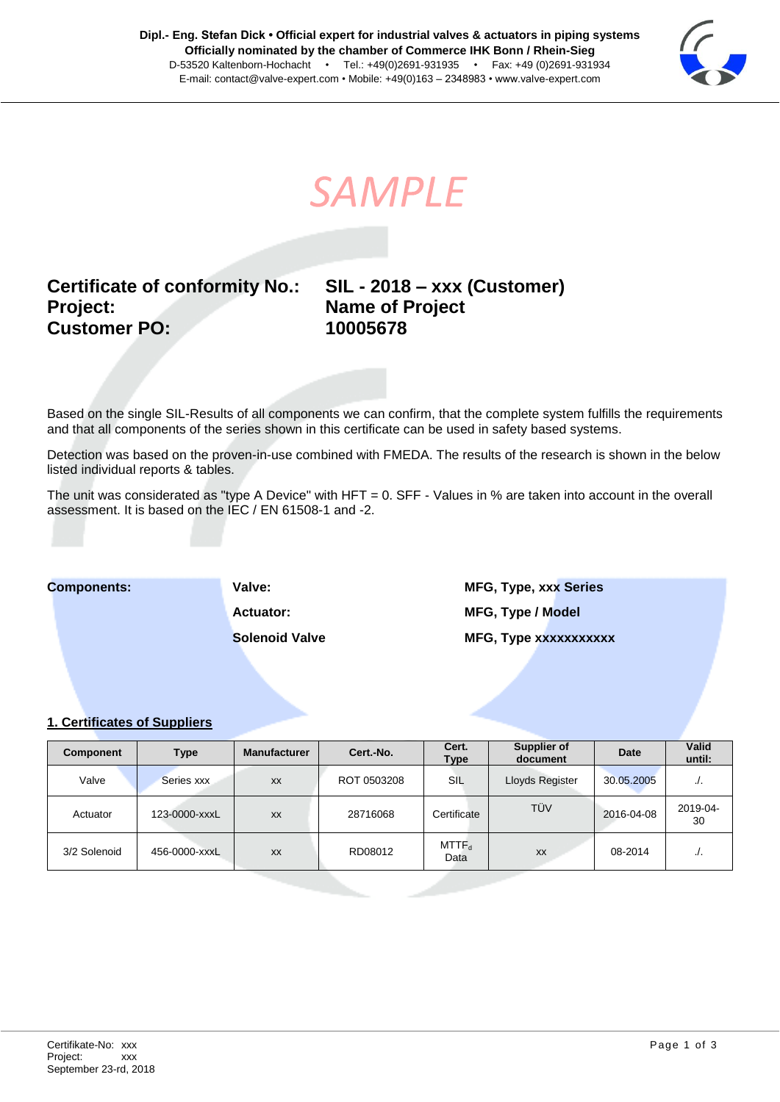

**SAMPLE** 

# **Certificate of conformity No.: SIL - 2018 – xxx (Customer) Project: Name of Project Customer PO: 10005678**

Based on the single SIL-Results of all components we can confirm, that the complete system fulfills the requirements and that all components of the series shown in this certificate can be used in safety based systems.

Detection was based on the proven-in-use combined with FMEDA. The results of the research is shown in the below listed individual reports & tables.

The unit was considerated as "type A Device" with HFT = 0. SFF - Values in % are taken into account in the overall assessment. It is based on the IEC / EN 61508-1 and -2.

**Components: Valve: MFG, Type, xxx Series Actuator: MFG, Type / Model Solenoid Valve MFG, Type xxxxxxxxxxx** 

### **1. Certificates of Suppliers**

| Component    | <b>Type</b>   | <b>Manufacturer</b> | Cert.-No.   | Cert.<br><b>Type</b> | Supplier of<br>document | Date       | <b>Valid</b><br>until: |
|--------------|---------------|---------------------|-------------|----------------------|-------------------------|------------|------------------------|
| Valve        | Series xxx    | <b>XX</b>           | ROT 0503208 | SIL                  | Lloyds Register         | 30.05.2005 | $\cdot$ .              |
| Actuator     | 123-0000-xxxL | <b>XX</b>           | 28716068    | Certificate          | TÜV                     | 2016-04-08 | 2019-04-<br>30         |
| 3/2 Solenoid | 456-0000-xxxL | <b>XX</b>           | RD08012     | $MTTF_d$<br>Data     | XX                      | 08-2014    |                        |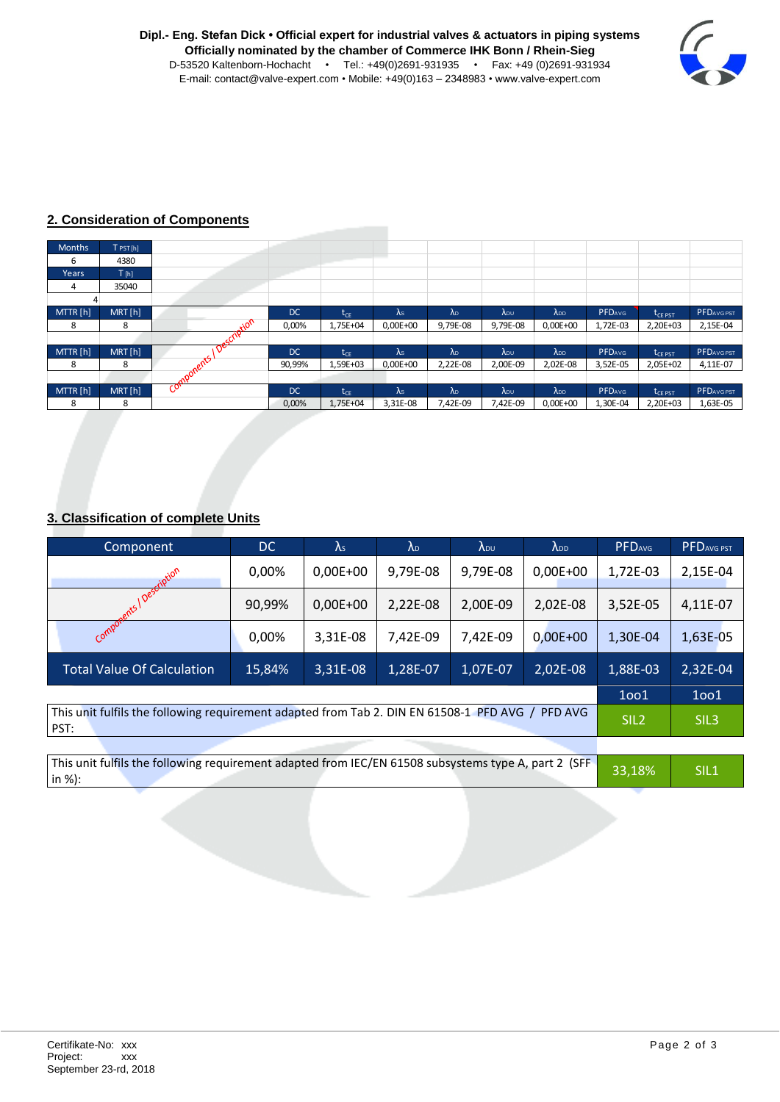

## **2. Consideration of Components**

| <b>Months</b> | $T$ PST [h] |           |           |                            |             |               |          |                |               |                                   |                  |
|---------------|-------------|-----------|-----------|----------------------------|-------------|---------------|----------|----------------|---------------|-----------------------------------|------------------|
| ь             | 4380        |           |           |                            |             |               |          |                |               |                                   |                  |
| Years         | T[h]        |           |           |                            |             |               |          |                |               |                                   |                  |
| 4             | 35040       |           |           |                            |             |               |          |                |               |                                   |                  |
|               |             |           |           |                            |             |               |          |                |               |                                   |                  |
| MTTR [h]      | MRT[h]      |           | <b>DC</b> | ${\rm t_{CE}}$             | $\lambda$ s | $\lambda_{D}$ | ADU      | $\lambda_{DD}$ | <b>PFDAVG</b> | $\mathfrak{r}_{\mathsf{CE\ PST}}$ | <b>PFDAVGPST</b> |
| 8             | 8           | 0٠,       | 0,00%     | 1,75E+04                   | $0,00E+00$  | 9,79E-08      | 9,79E-08 | $0,00E+00$     | 1,72E-03      | 2,20E+03                          | 2,15E-04         |
|               |             | cip       |           |                            |             |               |          |                |               |                                   |                  |
| MTTR [h]      | MRT[h]      | ᡐ         | <b>DC</b> | $\mathsf{t}_{\mathsf{CE}}$ | $\lambda$ s | $\lambda_{D}$ | ADU      | <b>ADD</b>     | <b>PFDAVG</b> | $\rm t_{\rm CE\ PST}$             | <b>PFDAVGPST</b> |
| 8             | 8           | mponents. | 90,99%    | 1,59E+03                   | $0,00E+00$  | 2,22E-08      | 2,00E-09 | 2,02E-08       | 3,52E-05      | 2,05E+02                          | 4,11E-07         |
|               |             |           |           |                            |             |               |          |                |               |                                   |                  |
| MTTR [h]      | MRT[h]      | ઌ         | <b>DC</b> | $t_{CF}$                   | $\lambda$ s | $\lambda_{D}$ | ADU      | <b>ADD</b>     | <b>PFDAVG</b> | L <sub>CE PST</sub>               | <b>PFDAVGPST</b> |
| 8             | 8           |           | 0,00%     | 1,75E+04                   | 3,31E-08    | 7,42E-09      | 7,42E-09 | $0,00E+00$     | 1,30E-04      | 2,20E+03                          | 1,63E-05         |

### **3. Classification of complete Units**

| Component                                                                                                         | DC     | $\lambda$ s | $\lambda_{\text{D}}$ | <b>ADU</b> | $\lambda_{DD}$ | <b>PFDAVG</b> | PFDAVG PST       |
|-------------------------------------------------------------------------------------------------------------------|--------|-------------|----------------------|------------|----------------|---------------|------------------|
| ription                                                                                                           | 0,00%  | $0,00E+00$  | 9,79E-08             | 9,79E-08   | $0,00E+00$     | 1,72E-03      | 2,15E-04         |
| nents!                                                                                                            | 90,99% | $0,00E+00$  | 2,22E-08             | 2,00E-09   | 2,02E-08       | 3,52E-05      | 4,11E-07         |
| Compot                                                                                                            | 0,00%  | 3,31E-08    | 7,42E-09             | 7,42E-09   | $0,00E+00$     | 1,30E-04      | 1,63E-05         |
| <b>Total Value Of Calculation</b>                                                                                 | 15,84% | 3,31E-08    | 1,28E-07             | 1,07E-07   | 2,02E-08       | 1,88E-03      | 2,32E-04         |
|                                                                                                                   |        |             |                      |            |                |               | 1001             |
| This unit fulfils the following requirement adapted from Tab 2. DIN EN 61508-1 PFD AVG,<br><b>PFD AVG</b><br>PST: |        |             |                      |            |                |               | SIL <sub>3</sub> |

|                       |  | This unit fulfils the following requirement adapted from IEC/EN 61508 subsystems type A, part 2 (SFF | 33,18% | SIL <sub>1</sub> |
|-----------------------|--|------------------------------------------------------------------------------------------------------|--------|------------------|
| $\mathsf{in} \ \%$ ): |  |                                                                                                      |        |                  |